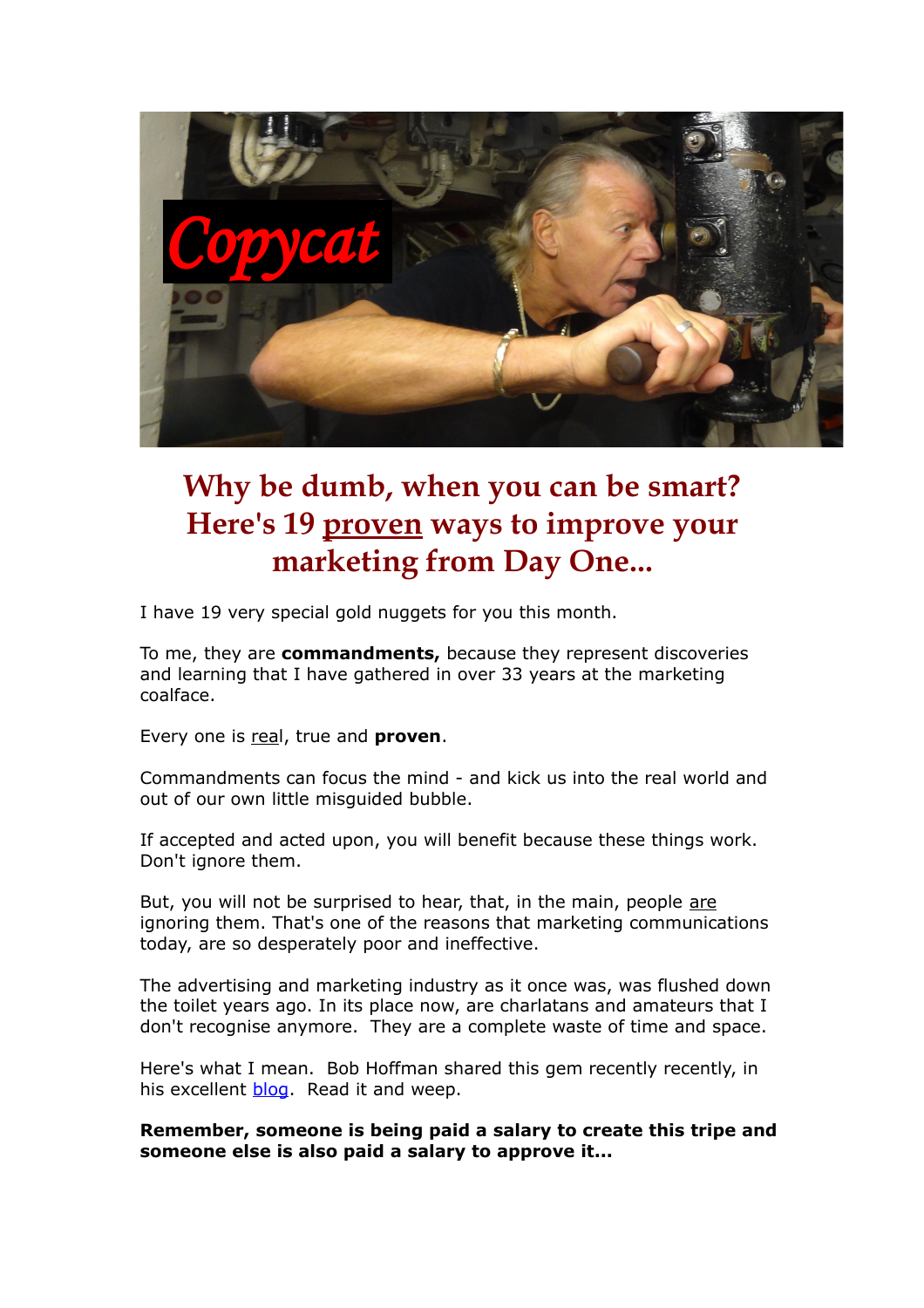

# **Why be dumb, when you can be smart? Here's 19 proven ways to improve your marketing from Day One...**

I have 19 very special gold nuggets for you this month.

To me, they are **commandments,** because they represent discoveries and learning that I have gathered in over 33 years at the marketing coalface.

Every one is real, true and **proven**.

Commandments can focus the mind - and kick us into the real world and out of our own little misguided bubble.

If accepted and acted upon, you will benefit because these things work. Don't ignore them.

But, you will not be surprised to hear, that, in the main, people are ignoring them. That's one of the reasons that marketing communications today, are so desperately poor and ineffective.

The advertising and marketing industry as it once was, was flushed down the toilet years ago. In its place now, are charlatans and amateurs that I don't recognise anymore. They are a complete waste of time and space.

Here's what I mean. Bob Hoffman shared this gem recently recently, in his excellent [blog.](http://www.adcontrarian.com/) Read it and weep.

**Remember, someone is being paid a salary to create this tripe and someone else is also paid a salary to approve it...**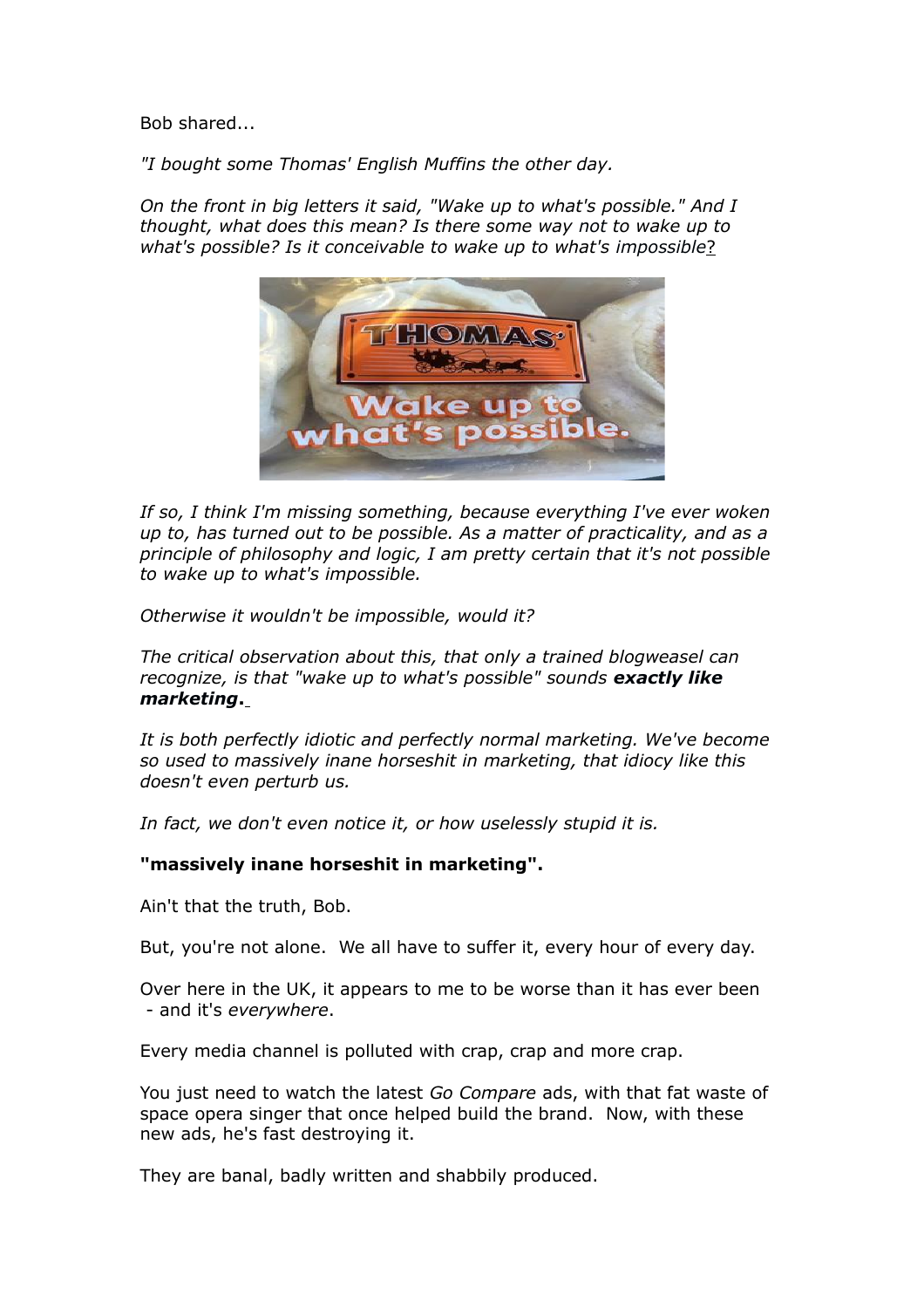Bob shared...

*"I bought some Thomas' English Muffins the other day.* 

*On the front in big letters it said, "Wake up to what's possible." And I thought, what does this mean? Is there some way not to wake up to what's possible? Is it conceivable to wake up to what's impossible*?



*If so, I think I'm missing something, because everything I've ever woken up to, has turned out to be possible. As a matter of practicality, and as a principle of philosophy and logic, I am pretty certain that it's not possible to wake up to what's impossible.* 

*Otherwise it wouldn't be impossible, would it?*

*The critical observation about this, that only a trained blogweasel can recognize, is that "wake up to what's possible" sounds exactly like marketing***.**

*It is both perfectly idiotic and perfectly normal marketing. We've become so used to massively inane horseshit in marketing, that idiocy like this doesn't even perturb us.*

*In fact, we don't even notice it, or how uselessly stupid it is.*

# **"massively inane horseshit in marketing".**

Ain't that the truth, Bob.

But, you're not alone. We all have to suffer it, every hour of every day.

Over here in the UK, it appears to me to be worse than it has ever been - and it's *everywhere*.

Every media channel is polluted with crap, crap and more crap.

You just need to watch the latest *Go Compare* ads, with that fat waste of space opera singer that once helped build the brand. Now, with these new ads, he's fast destroying it.

They are banal, badly written and shabbily produced.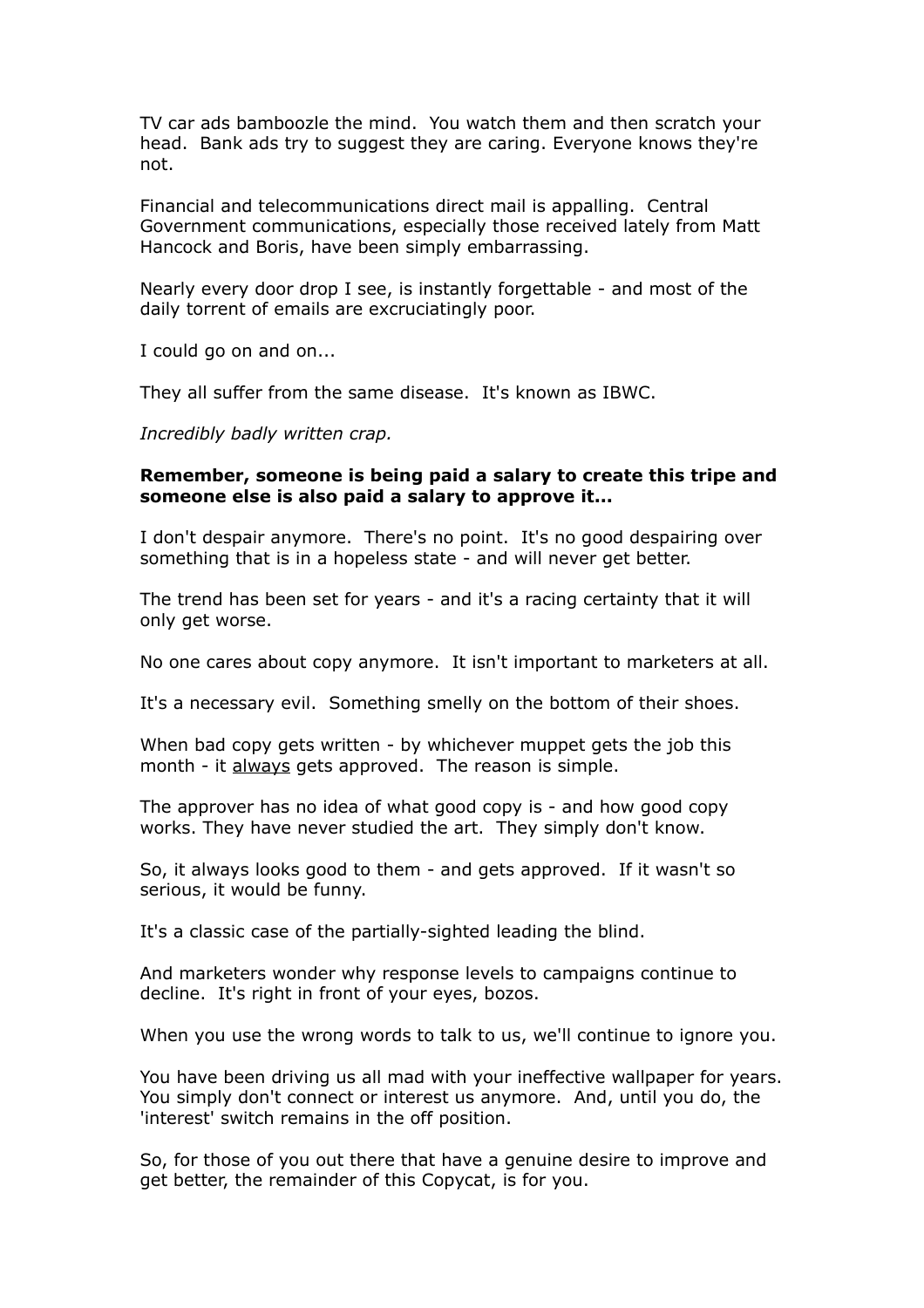TV car ads bamboozle the mind. You watch them and then scratch your head. Bank ads try to suggest they are caring. Everyone knows they're not.

Financial and telecommunications direct mail is appalling. Central Government communications, especially those received lately from Matt Hancock and Boris, have been simply embarrassing.

Nearly every door drop I see, is instantly forgettable - and most of the daily torrent of emails are excruciatingly poor.

I could go on and on...

They all suffer from the same disease. It's known as IBWC.

*Incredibly badly written crap.*

#### **Remember, someone is being paid a salary to create this tripe and someone else is also paid a salary to approve it...**

I don't despair anymore. There's no point. It's no good despairing over something that is in a hopeless state - and will never get better.

The trend has been set for years - and it's a racing certainty that it will only get worse.

No one cares about copy anymore. It isn't important to marketers at all.

It's a necessary evil. Something smelly on the bottom of their shoes.

When bad copy gets written - by whichever muppet gets the job this month - it always gets approved. The reason is simple.

The approver has no idea of what good copy is - and how good copy works. They have never studied the art. They simply don't know.

So, it always looks good to them - and gets approved. If it wasn't so serious, it would be funny.

It's a classic case of the partially-sighted leading the blind.

And marketers wonder why response levels to campaigns continue to decline. It's right in front of your eyes, bozos.

When you use the wrong words to talk to us, we'll continue to ignore you.

You have been driving us all mad with your ineffective wallpaper for years. You simply don't connect or interest us anymore. And, until you do, the 'interest' switch remains in the off position.

So, for those of you out there that have a genuine desire to improve and get better, the remainder of this Copycat, is for you.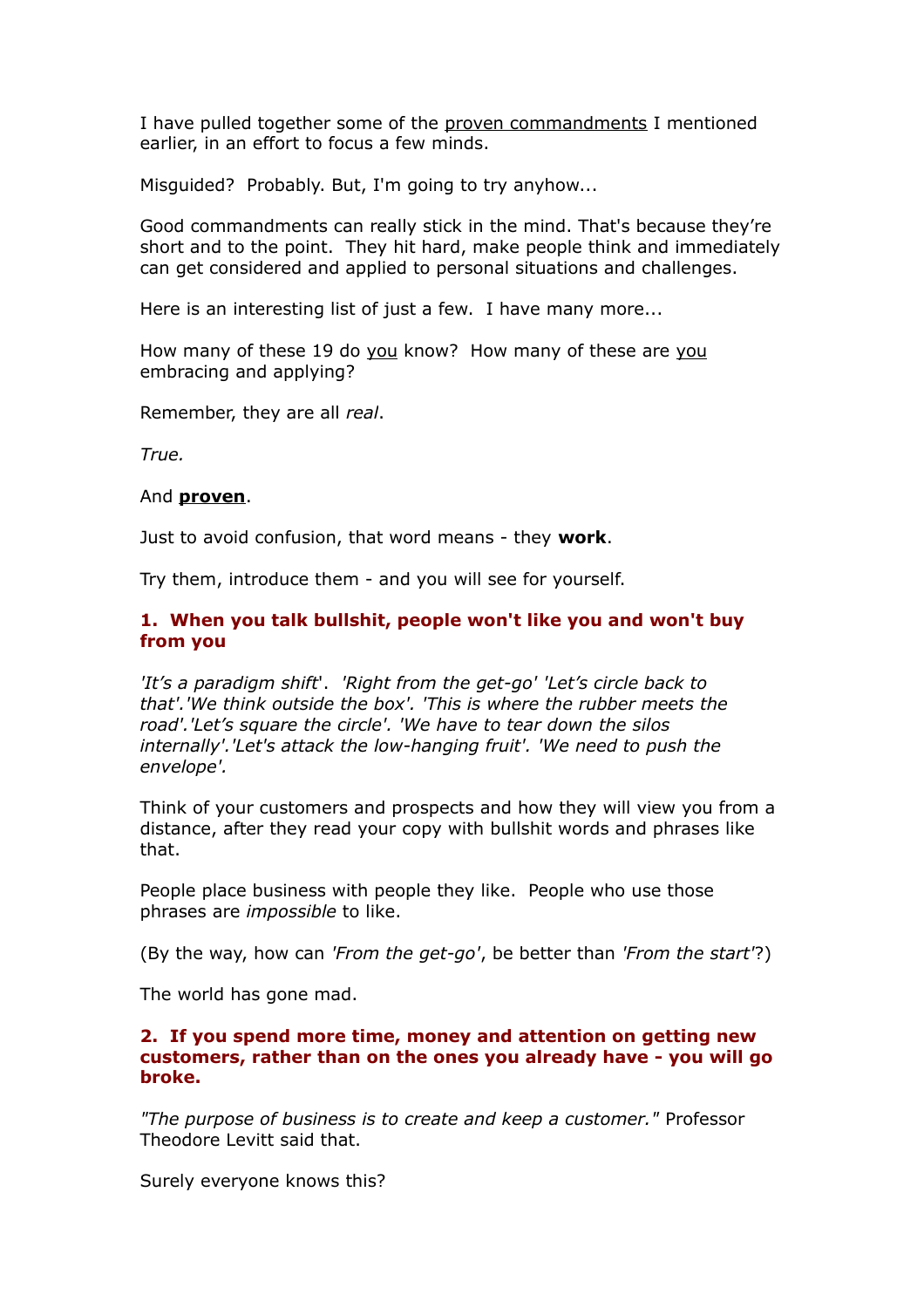I have pulled together some of the proven commandments I mentioned earlier, in an effort to focus a few minds.

Misguided? Probably. But, I'm going to try anyhow...

Good commandments can really stick in the mind. That's because they're short and to the point. They hit hard, make people think and immediately can get considered and applied to personal situations and challenges.

Here is an interesting list of just a few. I have many more...

How many of these 19 do you know? How many of these are you embracing and applying?

Remember, they are all *real*.

*True.* 

#### And **proven**.

Just to avoid confusion, that word means - they **work**.

Try them, introduce them - and you will see for yourself.

## **1. When you talk bullshit, people won't like you and won't buy from you**

*'It's a paradigm shift*'. *'Right from the get-go' 'Let's circle back to that'.'We think outside the box'. 'This is where the rubber meets the road'.'Let's square the circle'. 'We have to tear down the silos internally'.'Let's attack the low-hanging fruit'. 'We need to push the envelope'.*

Think of your customers and prospects and how they will view you from a distance, after they read your copy with bullshit words and phrases like that.

People place business with people they like. People who use those phrases are *impossible* to like.

(By the way, how can *'From the get-go'*, be better than *'From the start'*?)

The world has gone mad.

#### **2. If you spend more time, money and attention on getting new customers, rather than on the ones you already have - you will go broke.**

*"The purpose of business is to create and keep a customer."* Professor Theodore Levitt said that.

Surely everyone knows this?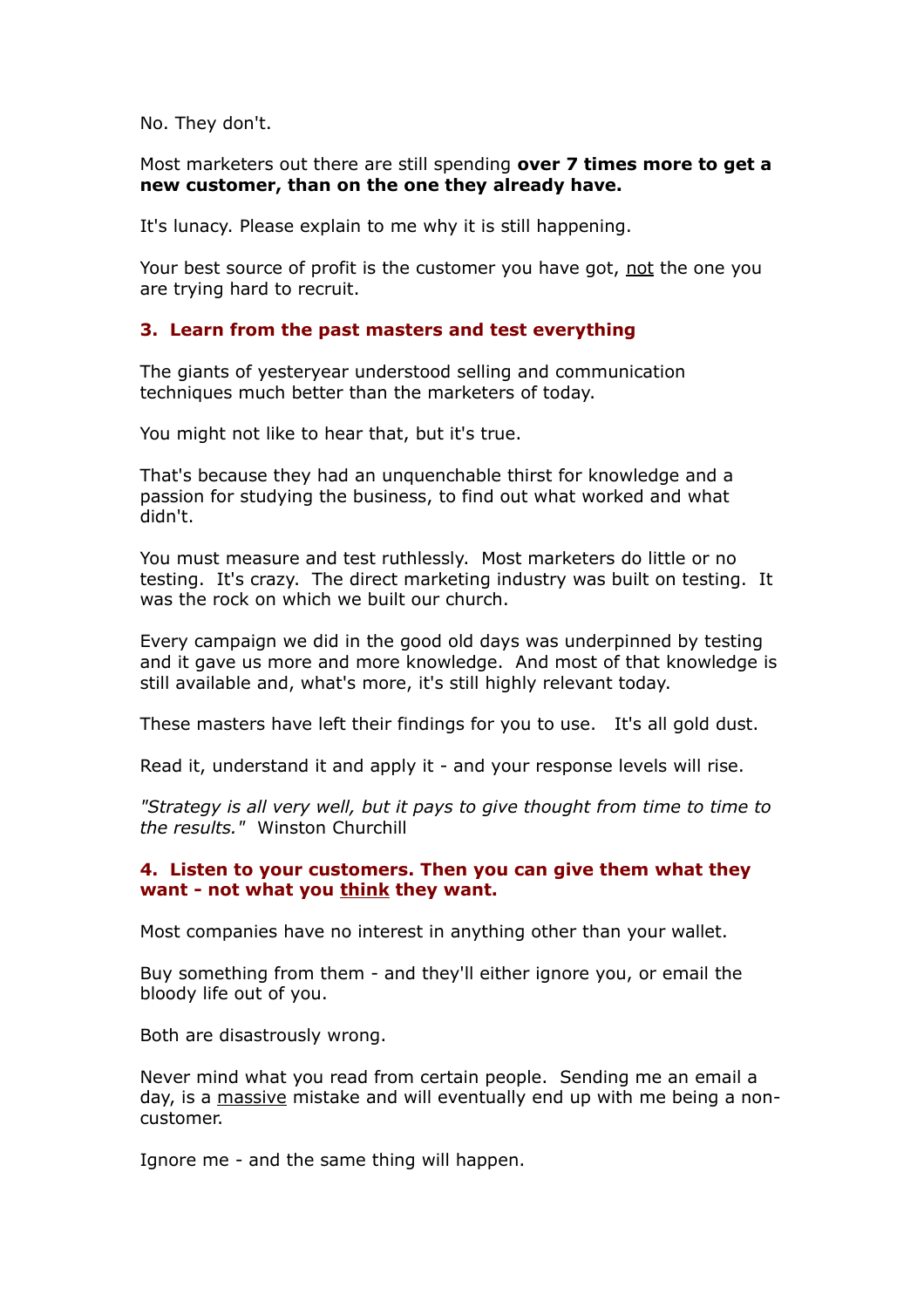No. They don't.

Most marketers out there are still spending **over 7 times more to get a new customer, than on the one they already have.**

It's lunacy. Please explain to me why it is still happening.

Your best source of profit is the customer you have got, not the one you are trying hard to recruit.

#### **3. Learn from the past masters and test everything**

The giants of yesteryear understood selling and communication techniques much better than the marketers of today.

You might not like to hear that, but it's true.

That's because they had an unquenchable thirst for knowledge and a passion for studying the business, to find out what worked and what didn't.

You must measure and test ruthlessly. Most marketers do little or no testing. It's crazy. The direct marketing industry was built on testing. It was the rock on which we built our church.

Every campaign we did in the good old days was underpinned by testing and it gave us more and more knowledge. And most of that knowledge is still available and, what's more, it's still highly relevant today.

These masters have left their findings for you to use. It's all gold dust.

Read it, understand it and apply it - and your response levels will rise.

*"Strategy is all very well, but it pays to give thought from time to time to the results."* Winston Churchill

#### **4. Listen to your customers. Then you can give them what they**  want - not what you think they want.

Most companies have no interest in anything other than your wallet.

Buy something from them - and they'll either ignore you, or email the bloody life out of you.

Both are disastrously wrong.

Never mind what you read from certain people. Sending me an email a day, is a massive mistake and will eventually end up with me being a noncustomer.

Ignore me - and the same thing will happen.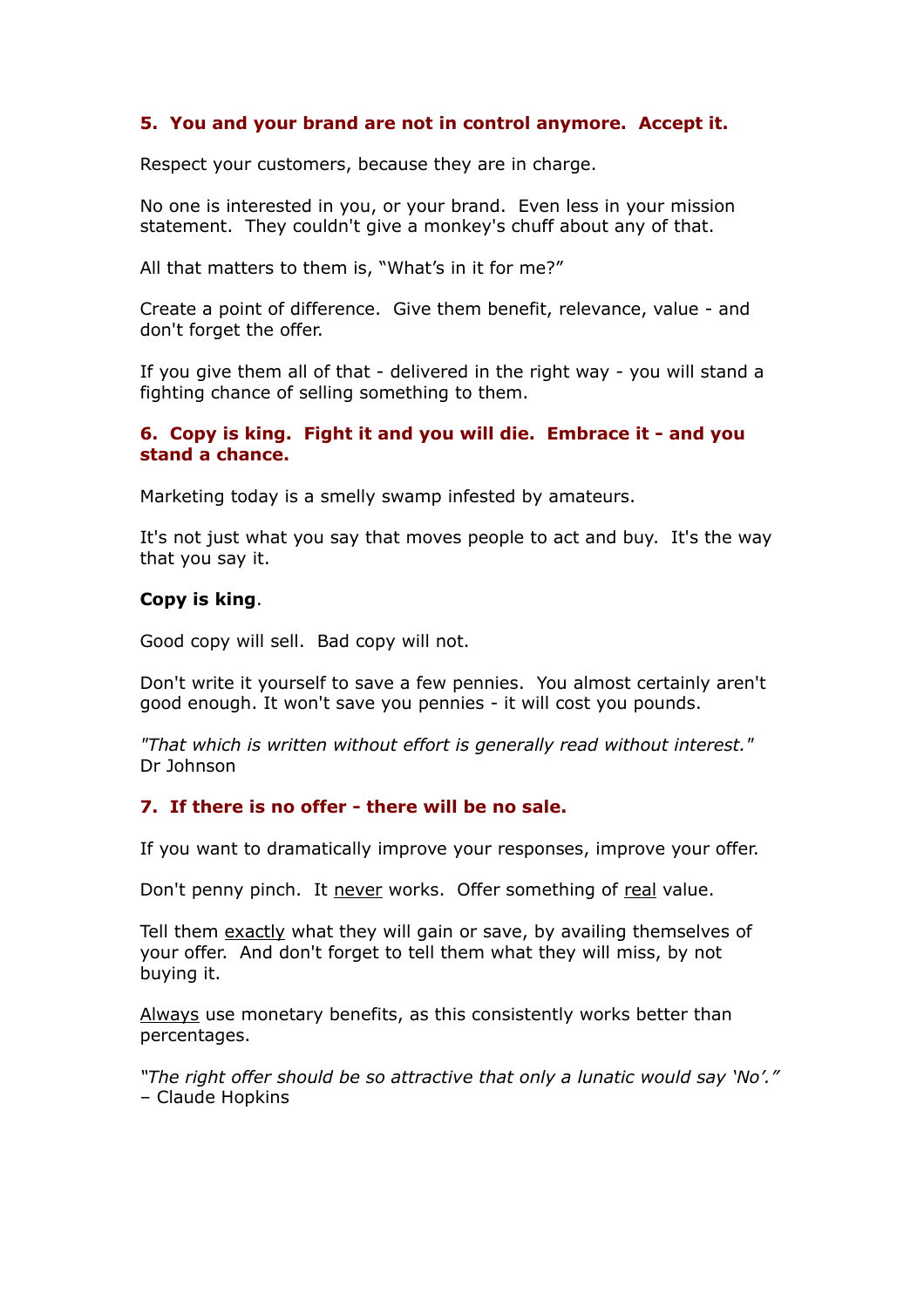# **5. You and your brand are not in control anymore. Accept it.**

Respect your customers, because they are in charge.

No one is interested in you, or your brand. Even less in your mission statement. They couldn't give a monkey's chuff about any of that.

All that matters to them is, "What's in it for me?"

Create a point of difference. Give them benefit, relevance, value - and don't forget the offer.

If you give them all of that - delivered in the right way - you will stand a fighting chance of selling something to them.

## **6. Copy is king. Fight it and you will die. Embrace it - and you stand a chance.**

Marketing today is a smelly swamp infested by amateurs.

It's not just what you say that moves people to act and buy. It's the way that you say it.

#### **Copy is king**.

Good copy will sell. Bad copy will not.

Don't write it yourself to save a few pennies. You almost certainly aren't good enough. It won't save you pennies - it will cost you pounds.

*"That which is written without effort is generally read without interest."* Dr Johnson

#### **7. If there is no offer - there will be no sale.**

If you want to dramatically improve your responses, improve your offer.

Don't penny pinch. It never works. Offer something of real value.

Tell them exactly what they will gain or save, by availing themselves of your offer. And don't forget to tell them what they will miss, by not buying it.

Always use monetary benefits, as this consistently works better than percentages.

*"The right offer should be so attractive that only a lunatic would say 'No'."* – Claude Hopkins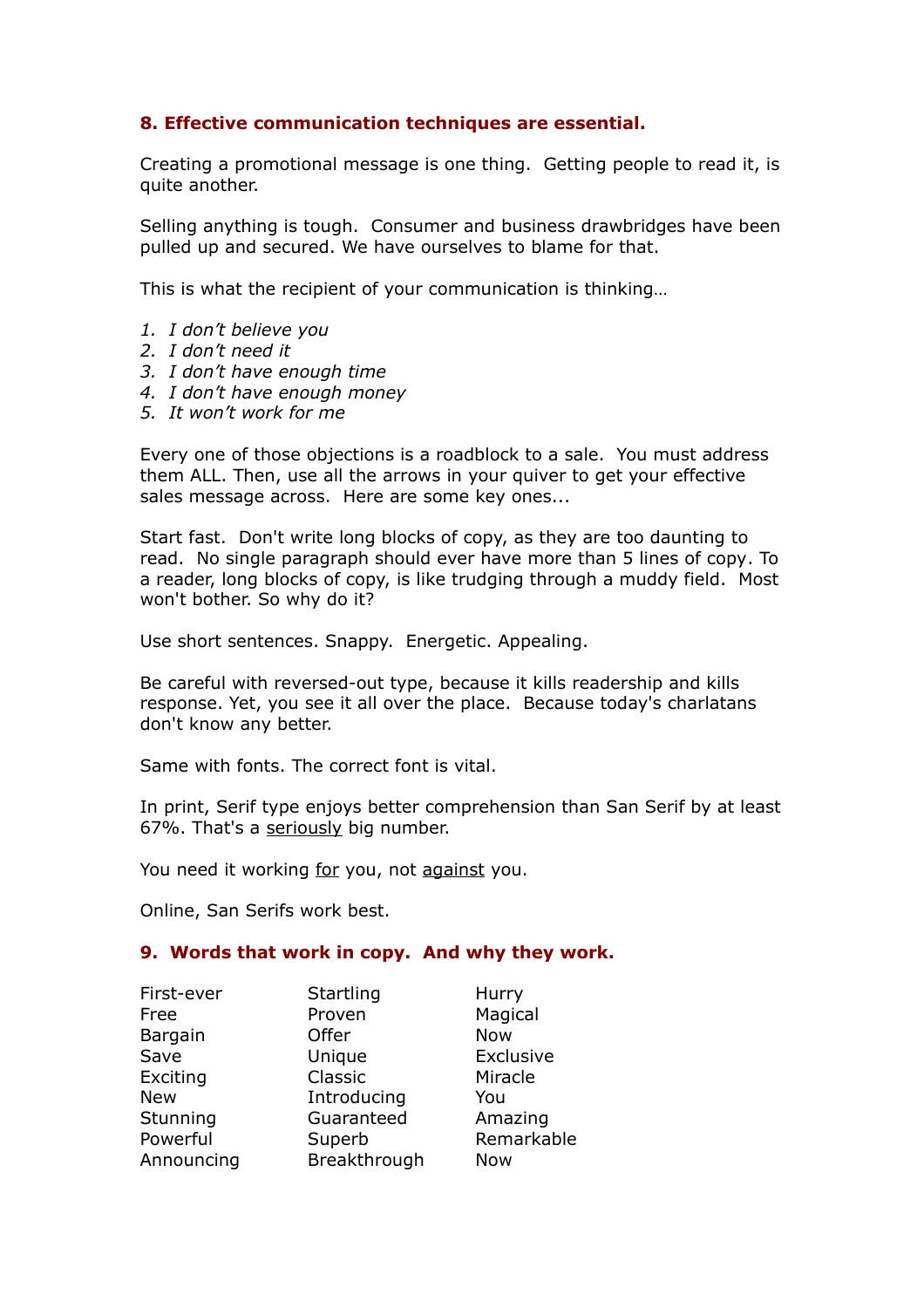# **8. Effective communication techniques are essential.**

Creating a promotional message is one thing. Getting people to read it, is quite another.

Selling anything is tough. Consumer and business drawbridges have been pulled up and secured. We have ourselves to blame for that.

This is what the recipient of your communication is thinking…

- *1. I don't believe you*
- *2. I don't need it*
- *3. I don't have enough time*
- *4. I don't have enough money*
- *5. It won't work for me*

Every one of those objections is a roadblock to a sale. You must address them ALL. Then, use all the arrows in your quiver to get your effective sales message across. Here are some key ones...

Start fast. Don't write long blocks of copy, as they are too daunting to read. No single paragraph should ever have more than 5 lines of copy. To a reader, long blocks of copy, is like trudging through a muddy field. Most won't bother. So why do it?

Use short sentences. Snappy. Energetic. Appealing.

Be careful with reversed-out type, because it kills readership and kills response. Yet, you see it all over the place. Because today's charlatans don't know any better.

Same with fonts. The correct font is vital.

In print, Serif type enjoys better comprehension than San Serif by at least 67%. That's a seriously big number.

You need it working for you, not against you.

Online, San Serifs work best.

#### **9. Words that work in copy. And why they work.**

| First-ever | Startling    | Hurry      |
|------------|--------------|------------|
| Free       | Proven       | Magical    |
| Bargain    | Offer        | <b>Now</b> |
| Save       | Unique       | Exclusive  |
| Exciting   | Classic      | Miracle    |
| <b>New</b> | Introducing  | You        |
| Stunning   | Guaranteed   | Amazing    |
| Powerful   | Superb       | Remarkable |
| Announcing | Breakthrough | <b>Now</b> |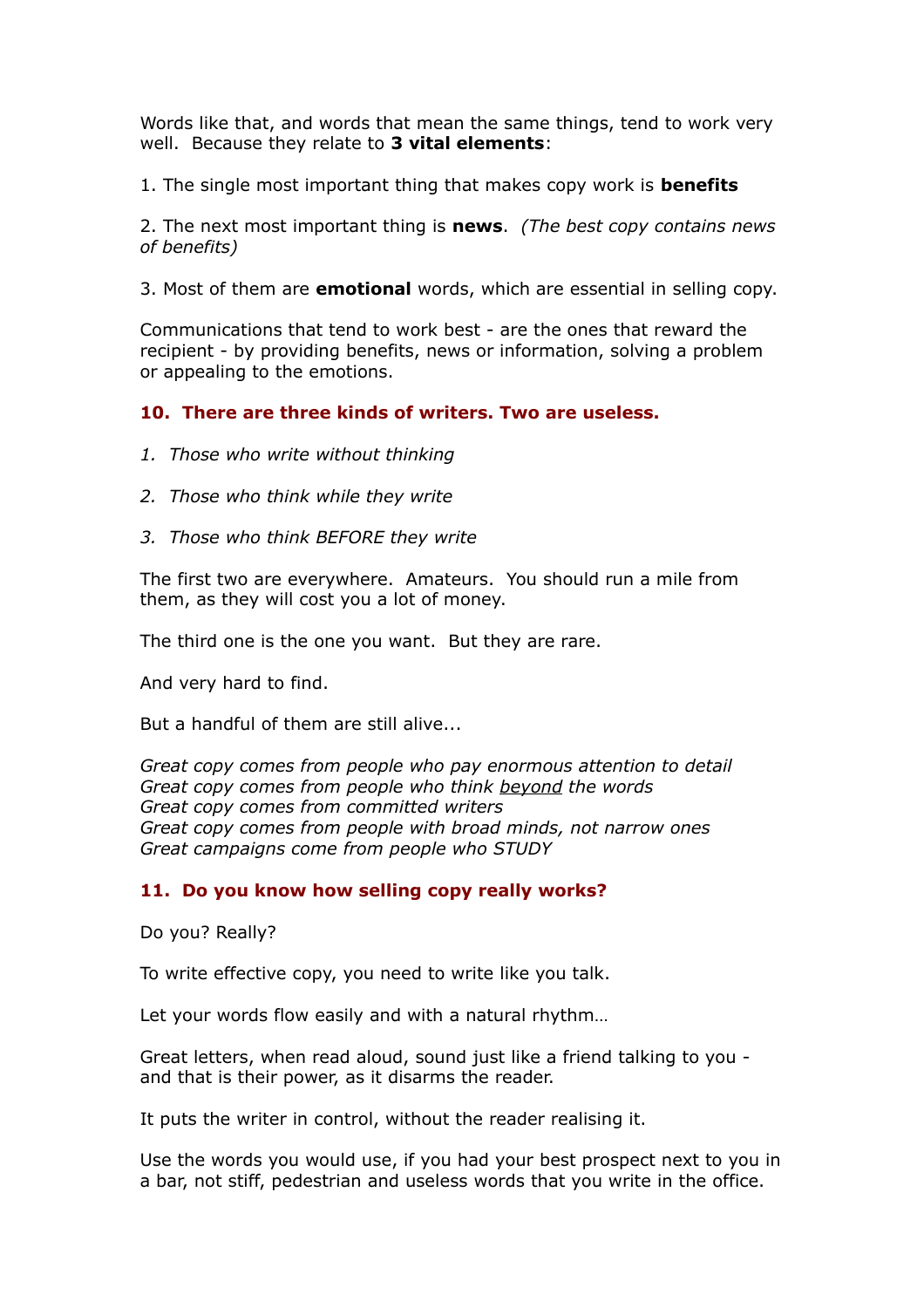Words like that, and words that mean the same things, tend to work very well. Because they relate to **3 vital elements**:

1. The single most important thing that makes copy work is **benefits**

2. The next most important thing is **news**. *(The best copy contains news of benefits)*

3. Most of them are **emotional** words, which are essential in selling copy.

Communications that tend to work best - are the ones that reward the recipient - by providing benefits, news or information, solving a problem or appealing to the emotions.

## **10. There are three kinds of writers. Two are useless.**

- *1. Those who write without thinking*
- *2. Those who think while they write*
- *3. Those who think BEFORE they write*

The first two are everywhere. Amateurs. You should run a mile from them, as they will cost you a lot of money.

The third one is the one you want. But they are rare.

And very hard to find.

But a handful of them are still alive...

*Great copy comes from people who pay enormous attention to detail Great copy comes from people who think beyond the words Great copy comes from committed writers Great copy comes from people with broad minds, not narrow ones Great campaigns come from people who STUDY*

#### **11. Do you know how selling copy really works?**

Do you? Really?

To write effective copy, you need to write like you talk.

Let your words flow easily and with a natural rhythm…

Great letters, when read aloud, sound just like a friend talking to you and that is their power, as it disarms the reader.

It puts the writer in control, without the reader realising it.

Use the words you would use, if you had your best prospect next to you in a bar, not stiff, pedestrian and useless words that you write in the office.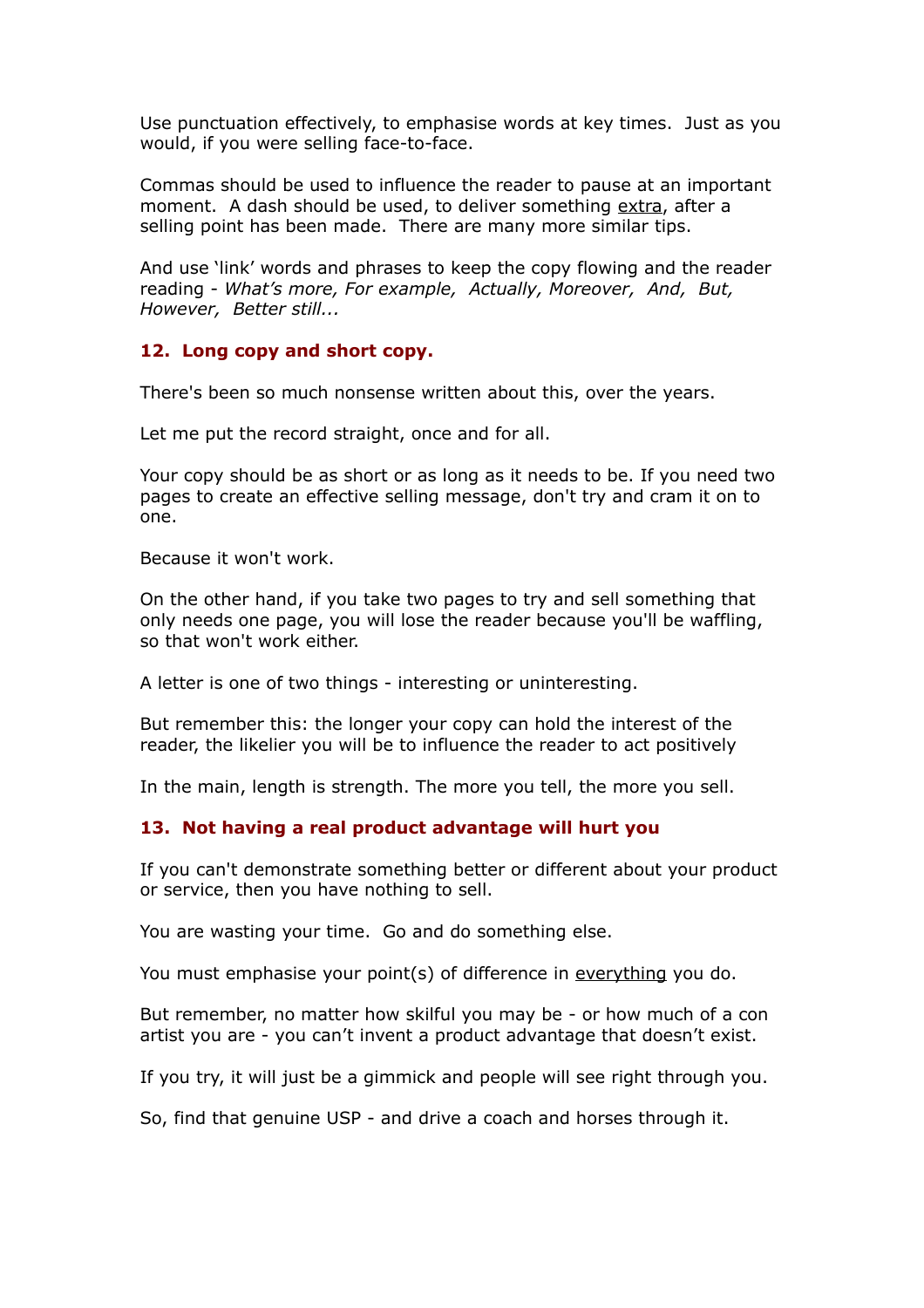Use punctuation effectively, to emphasise words at key times. Just as you would, if you were selling face-to-face.

Commas should be used to influence the reader to pause at an important moment. A dash should be used, to deliver something extra, after a selling point has been made. There are many more similar tips.

And use 'link' words and phrases to keep the copy flowing and the reader reading - *What's more, For example, Actually, Moreover, And, But, However, Better still...*

#### **12. Long copy and short copy.**

There's been so much nonsense written about this, over the years.

Let me put the record straight, once and for all.

Your copy should be as short or as long as it needs to be. If you need two pages to create an effective selling message, don't try and cram it on to one.

Because it won't work.

On the other hand, if you take two pages to try and sell something that only needs one page, you will lose the reader because you'll be waffling, so that won't work either.

A letter is one of two things - interesting or uninteresting.

But remember this: the longer your copy can hold the interest of the reader, the likelier you will be to influence the reader to act positively

In the main, length is strength. The more you tell, the more you sell.

# **13. Not having a real product advantage will hurt you**

If you can't demonstrate something better or different about your product or service, then you have nothing to sell.

You are wasting your time. Go and do something else.

You must emphasise your point(s) of difference in everything you do.

But remember, no matter how skilful you may be - or how much of a con artist you are - you can't invent a product advantage that doesn't exist.

If you try, it will just be a gimmick and people will see right through you.

So, find that genuine USP - and drive a coach and horses through it.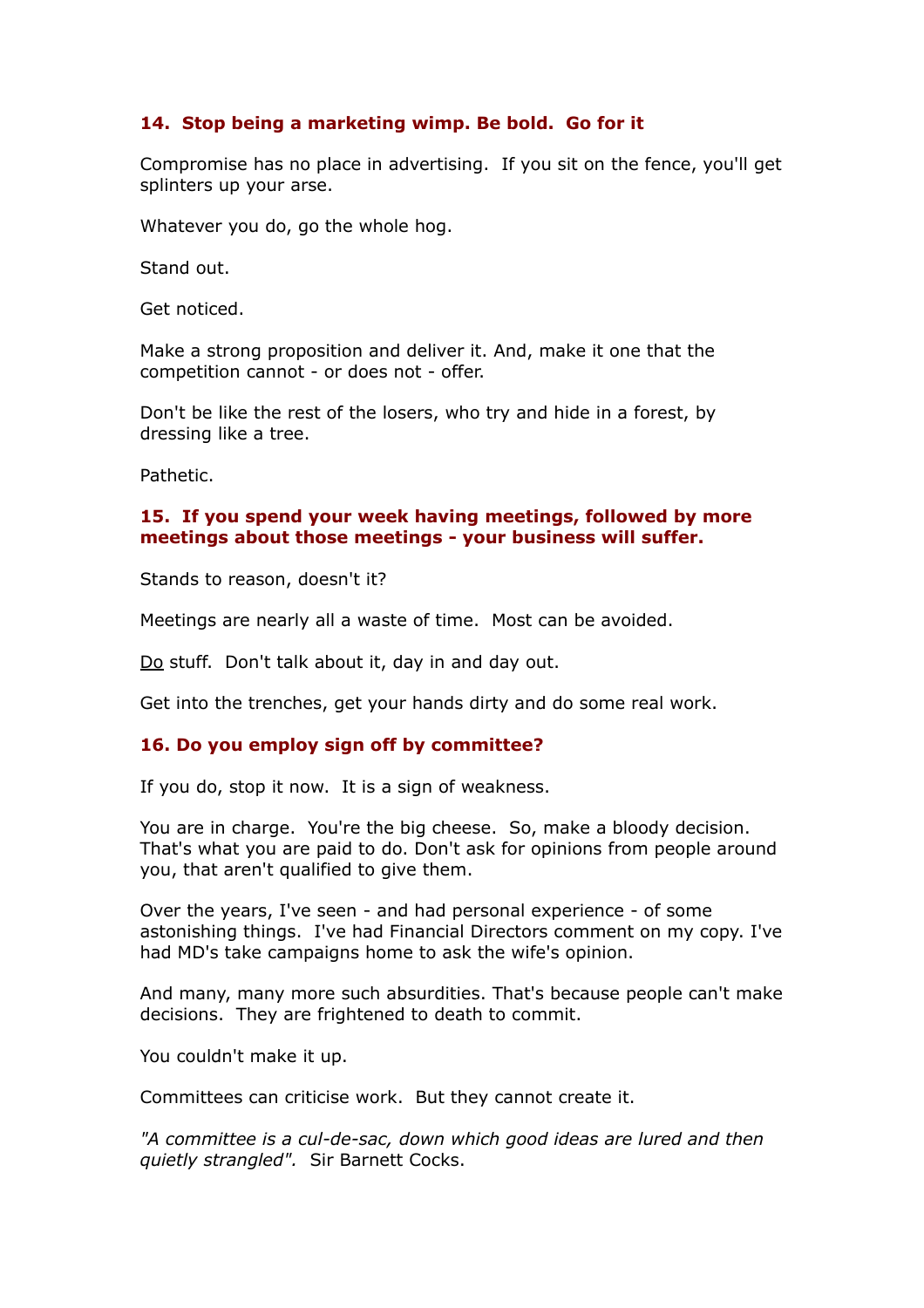# **14. Stop being a marketing wimp. Be bold. Go for it**

Compromise has no place in advertising. If you sit on the fence, you'll get splinters up your arse.

Whatever you do, go the whole hog.

Stand out.

Get noticed.

Make a strong proposition and deliver it. And, make it one that the competition cannot - or does not - offer.

Don't be like the rest of the losers, who try and hide in a forest, by dressing like a tree.

Pathetic.

## **15. If you spend your week having meetings, followed by more meetings about those meetings - your business will suffer.**

Stands to reason, doesn't it?

Meetings are nearly all a waste of time. Most can be avoided.

Do stuff. Don't talk about it, day in and day out.

Get into the trenches, get your hands dirty and do some real work.

#### **16. Do you employ sign off by committee?**

If you do, stop it now. It is a sign of weakness.

You are in charge. You're the big cheese. So, make a bloody decision. That's what you are paid to do. Don't ask for opinions from people around you, that aren't qualified to give them.

Over the years, I've seen - and had personal experience - of some astonishing things. I've had Financial Directors comment on my copy. I've had MD's take campaigns home to ask the wife's opinion.

And many, many more such absurdities. That's because people can't make decisions. They are frightened to death to commit.

You couldn't make it up.

Committees can criticise work. But they cannot create it.

*"A committee is a cul-de-sac, down which good ideas are lured and then quietly strangled".* Sir Barnett Cocks.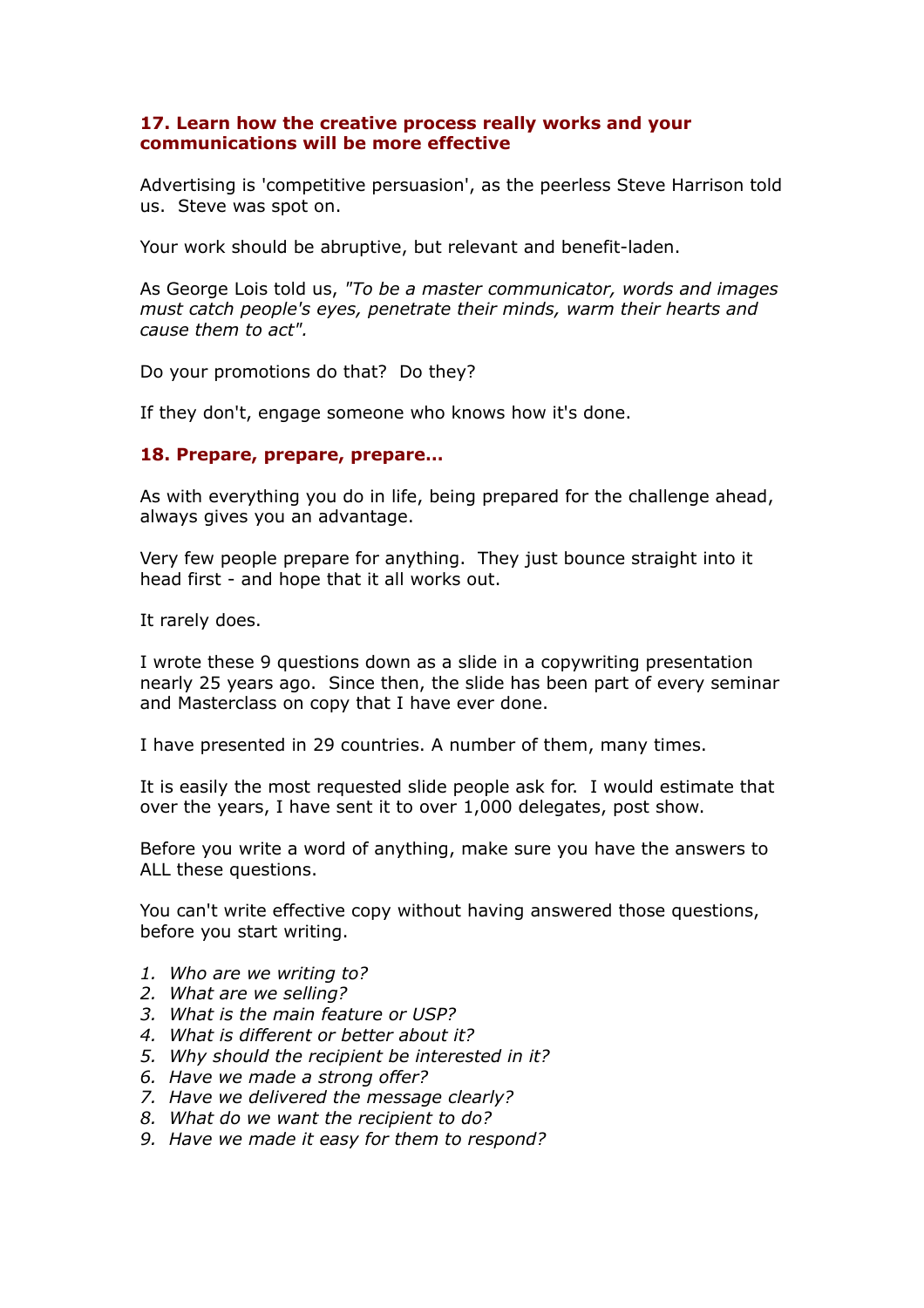## **17. Learn how the creative process really works and your communications will be more effective**

Advertising is 'competitive persuasion', as the peerless Steve Harrison told us. Steve was spot on.

Your work should be abruptive, but relevant and benefit-laden.

As George Lois told us, *"To be a master communicator, words and images must catch people's eyes, penetrate their minds, warm their hearts and cause them to act".*

Do your promotions do that? Do they?

If they don't, engage someone who knows how it's done.

#### **18. Prepare, prepare, prepare…**

As with everything you do in life, being prepared for the challenge ahead, always gives you an advantage.

Very few people prepare for anything. They just bounce straight into it head first - and hope that it all works out.

It rarely does.

I wrote these 9 questions down as a slide in a copywriting presentation nearly 25 years ago. Since then, the slide has been part of every seminar and Masterclass on copy that I have ever done.

I have presented in 29 countries. A number of them, many times.

It is easily the most requested slide people ask for. I would estimate that over the years, I have sent it to over 1,000 delegates, post show.

Before you write a word of anything, make sure you have the answers to ALL these questions.

You can't write effective copy without having answered those questions, before you start writing.

- *1. Who are we writing to?*
- *2. What are we selling?*
- *3. What is the main feature or USP?*
- *4. What is different or better about it?*
- *5. Why should the recipient be interested in it?*
- *6. Have we made a strong offer?*
- *7. Have we delivered the message clearly?*
- *8. What do we want the recipient to do?*
- *9. Have we made it easy for them to respond?*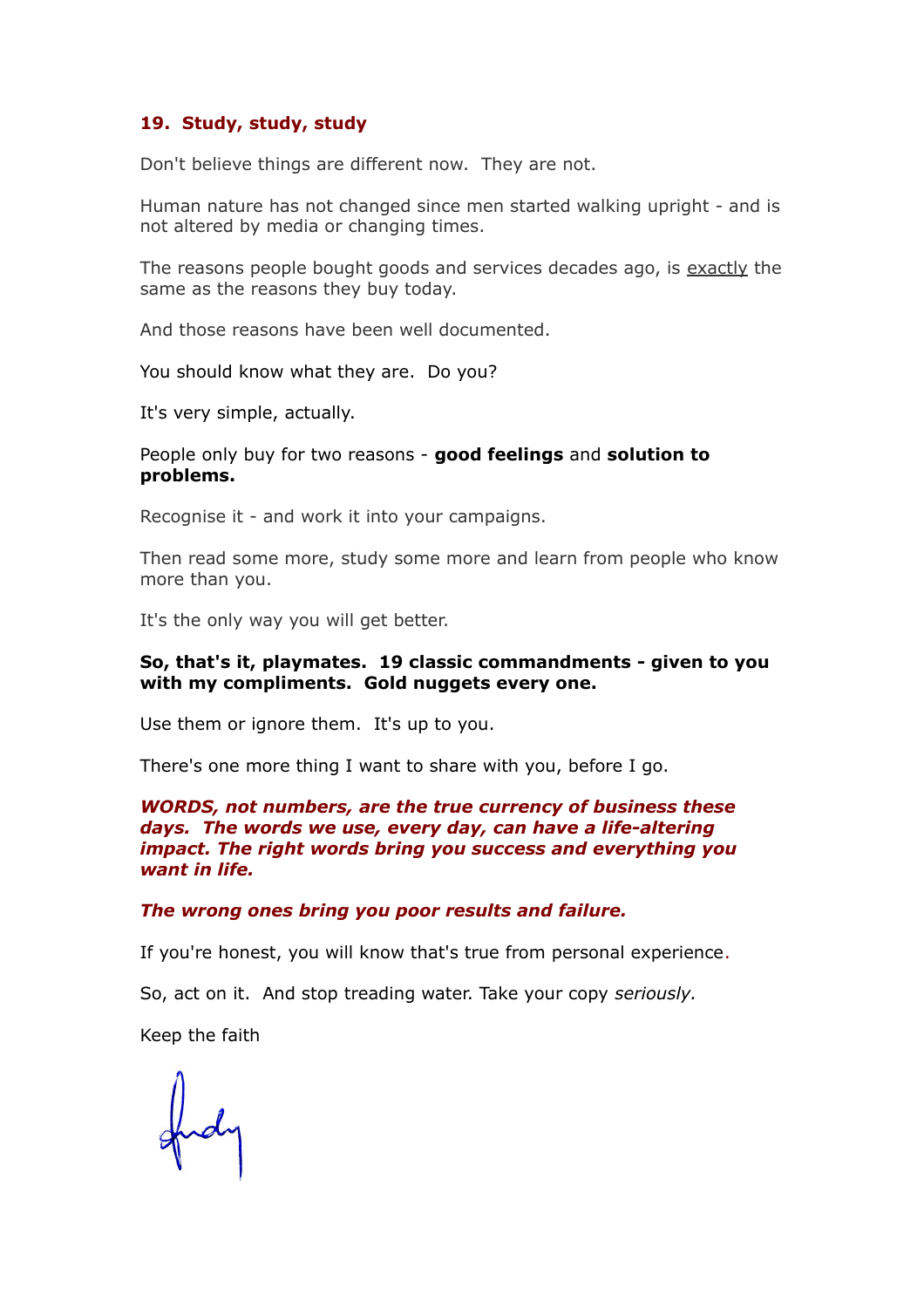## **19. Study, study, study**

Don't believe things are different now. They are not.

Human nature has not changed since men started walking upright - and is not altered by media or changing times.

The reasons people bought goods and services decades ago, is exactly the same as the reasons they buy today.

And those reasons have been well documented.

You should know what they are. Do you?

It's very simple, actually.

#### People only buy for two reasons - **good feelings** and **solution to problems.**

Recognise it - and work it into your campaigns.

Then read some more, study some more and learn from people who know more than you.

It's the only way you will get better.

#### **So, that's it, playmates. 19 classic commandments - given to you with my compliments. Gold nuggets every one.**

Use them or ignore them. It's up to you.

There's one more thing I want to share with you, before I go.

#### *WORDS, not numbers, are the true currency of business these days. The words we use, every day, can have a life-altering impact. The right words bring you success and everything you want in life.*

#### *The wrong ones bring you poor results and failure.*

If you're honest, you will know that's true from personal experience.

So, act on it. And stop treading water. Take your copy *seriously.*

Keep the faith